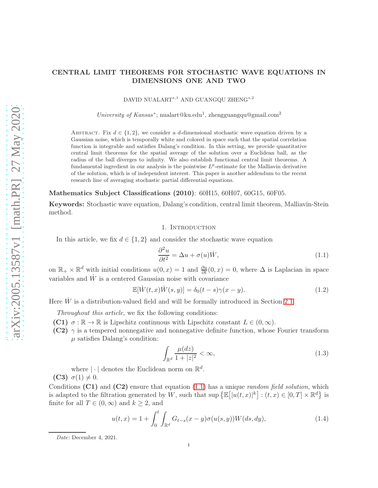# CENTRAL LIMIT THEOREMS FOR STOCHASTIC WAVE EQUATIONS IN DIMENSIONS ONE AND TWO

DAVID NUALART<sup>∗,1</sup> AND GUANGQU ZHENG<sup>∗,2</sup>

University of Kansas<sup>\*</sup>; nualart@ku.edu<sup>1</sup>, zhengguangqu@gmail.com<sup>2</sup>

ABSTRACT. Fix  $d \in \{1, 2\}$ , we consider a d-dimensional stochastic wave equation driven by a Gaussian noise, which is temporally white and colored in space such that the spatial correlation function is integrable and satisfies Dalang's condition. In this setting, we provide quantitative central limit theorems for the spatial average of the solution over a Euclidean ball, as the radius of the ball diverges to infinity. We also establish functional central limit theorems. A fundamental ingredient in our analysis is the pointwise  $L^p$ -estimate for the Malliavin derivative of the solution, which is of independent interest. This paper is another addendum to the recent research line of averaging stochastic partial differential equations.

Mathematics Subject Classifications (2010): 60H15, 60H07, 60G15, 60F05.

Keywords: Stochastic wave equation, Dalang's condition, central limit theorem, Malliavin-Stein method.

## 1. INTRODUCTION

In this article, we fix  $d \in \{1,2\}$  and consider the stochastic wave equation

<span id="page-0-0"></span>
$$
\frac{\partial^2 u}{\partial t^2} = \Delta u + \sigma(u)\dot{W},\tag{1.1}
$$

on  $\mathbb{R}_+ \times \mathbb{R}^d$  with initial conditions  $u(0, x) = 1$  and  $\frac{\partial u}{\partial t}(0, x) = 0$ , where  $\Delta$  is Laplacian in space variables and  $\dot{W}$  is a centered Gaussian noise with covariance

$$
\mathbb{E}[\dot{W}(t,x)\dot{W}(s,y)] = \delta_0(t-s)\gamma(x-y). \tag{1.2}
$$

Here  $\dot{W}$  is a distribution-valued field and will be formally introduced in Section [2.1.](#page-3-0)

*Throughout this article*, we fix the following conditions:

- **(C1)**  $\sigma : \mathbb{R} \to \mathbb{R}$  is Lipschitz continuous with Lipschitz constant  $L \in (0, \infty)$ .
- (C2)  $\gamma$  is a tempered nonnegative and nonnegative definite function, whose Fourier transform  $\mu$  satisfies Dalang's condition:

$$
\int_{\mathbb{R}^d} \frac{\mu(dz)}{1+|z|^2} < \infty,\tag{1.3}
$$

where  $|\cdot|$  denotes the Euclidean norm on  $\mathbb{R}^d$ . (C3)  $\sigma(1) \neq 0$ .

Conditions (C1) and (C2) ensure that equation [\(1.1\)](#page-0-0) has a unique *random field solution*, which is adapted to the filtration generated by W, such that  $\sup \left\{ \mathbb{E}\left[ |u(t,x)|^k \right] : (t,x) \in [0,T] \times \mathbb{R}^d \right\}$  is finite for all  $T \in (0, \infty)$  and  $k \geq 2$ , and

<span id="page-0-1"></span>
$$
u(t,x) = 1 + \int_0^t \int_{\mathbb{R}^d} G_{t-s}(x-y)\sigma(u(s,y))W(ds,dy),
$$
\n(1.4)

Date: December 4, 2021.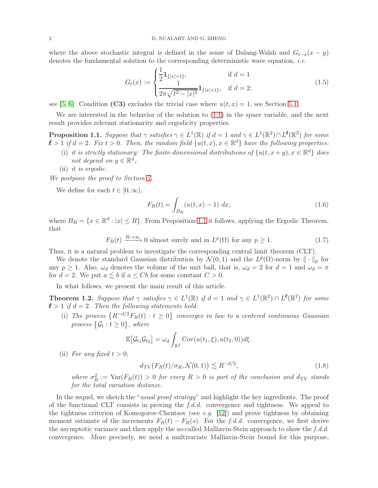where the above stochastic integral is defined in the sense of Dalang-Walsh and  $G_{t-s}(x - y)$ denotes the fundamental solution to the corresponding deterministic wave equation, *i.e.*

<span id="page-1-2"></span>
$$
G_t(x) := \begin{cases} \frac{1}{2} \mathbf{1}_{\{|x| < t\}}, & \text{if } d = 1\\ \frac{1}{2\pi\sqrt{t^2 - |x|^2}} \mathbf{1}_{\{|x| < t\}}, & \text{if } d = 2; \end{cases} \tag{1.5}
$$

see [\[5,](#page-18-0) [6\]](#page-18-1). Condition (C3) excludes the trivial case where  $u(t, x) = 1$ , see Section [5.1.](#page-10-0)

We are interested in the behavior of the solution to [\(1.1\)](#page-0-0) in the space variable, and the next result provides relevant stationarity and ergodicity properties.

<span id="page-1-0"></span>**Proposition 1.1.** Suppose that  $\gamma$  satisfies  $\gamma \in L^1(\mathbb{R})$  if  $d = 1$  and  $\gamma \in L^1(\mathbb{R}^2) \cap L^{\ell}(\mathbb{R}^2)$  for some  $\ell > 1$  if  $d = 2$ . Fix  $t > 0$ . Then, the random field  $\{u(t, x), x \in \mathbb{R}^d\}$  have the following properties:

- (i) *it is strictly stationary: The finite-dimensional distributions of*  $\{u(t, x+y), x \in \mathbb{R}^d\}$  does *not depend on*  $y \in \mathbb{R}^d$ ;
- (ii) *it is ergodic.*

*We postpone the proof to Section [3.](#page-6-0)*

We define for each  $t \in [0, \infty)$ ,

$$
F_R(t) = \int_{B_R} (u(t, x) - 1) \, dx,\tag{1.6}
$$

where  $B_R = \{x \in \mathbb{R}^d : |x| \le R\}$ . From Proposition [1.1](#page-1-0) it follows, applying the Ergodic Theorem, that

$$
F_R(t) \xrightarrow{R \to \infty} 0
$$
 almost surely and in  $L^p(\Omega)$  for any  $p \ge 1$ . (1.7)

Thus, it is a natural problem to investigate the corresponding central limit theorem (CLT).

We denote the standard Gaussian distribution by  $\mathcal{N}(0,1)$  and the  $L^p(\Omega)$ -norm by  $\|\cdot\|_p$  for any  $p \ge 1$ . Also,  $\omega_d$  denotes the volume of the unit ball, that is,  $\omega_d = 2$  for  $d = 1$  and  $\omega_d = \pi$ for  $d = 2$ . We put  $a \leq b$  if  $a \leq Cb$  for some constant  $C > 0$ .

In what follows, we present the main result of this article.

<span id="page-1-1"></span>**Theorem 1.2.** Suppose that  $\gamma$  satisfies  $\gamma \in L^1(\mathbb{R})$  if  $d = 1$  and  $\gamma \in L^1(\mathbb{R}^2) \cap L^{\ell}(\mathbb{R}^2)$  for some  $\ell > 1$  *if*  $d = 2$ . Then the following statements hold:

(i) The process  $\{R^{-d/2}F_R(t): t \geq 0\}$  converges in law to a centered continuous Gaussian  $\{G_t : t \geq 0\}$ , where

$$
\mathbb{E}\big[\mathcal{G}_{t_1}\mathcal{G}_{t_2}\big] = \omega_d \int_{\mathbb{R}^d} \text{Cov}(u(t_1,\xi),u(t_2,0))d\xi.
$$

(ii) For any fixed  $t > 0$ ,

<span id="page-1-3"></span>
$$
d_{\text{TV}}\big(F_R(t)/\sigma_R, \mathcal{N}(0, 1)\big) \lesssim R^{-d/2},\tag{1.8}
$$

where  $\sigma_R^2 := \text{Var}(F_R(t)) > 0$  *for every*  $R > 0$  *is part of the conclusion and*  $d_{TV}$  *stands for the total variation distance.*

In the sequel, we sketch the "*usual proof strategy*" and highlight the key ingredients. The proof of the functional CLT consists in proving the *f.d.d.* convergence and tightness. We appeal to the tightness criterion of Komogorov-Chentsov (see *e.g.* [\[12\]](#page-18-2)) and prove tightness by obtaining moment estimate of the increments  $F_R(t) - F_R(s)$ . For the *f.d.d.* convergence, we first derive the asymptotic variance and then apply the so-called Malliavin-Stein approach to show the *f.d.d.* convergence. More precisely, we need a multivariate Malliavin-Stein bound for this purpose,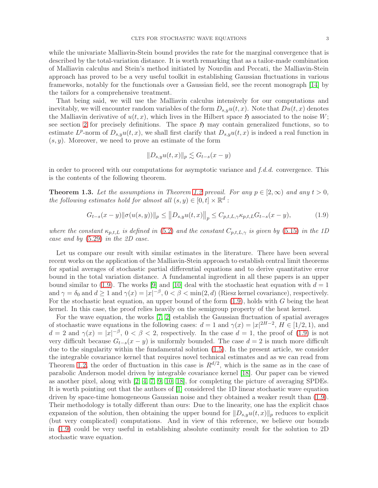while the univariate Malliavin-Stein bound provides the rate for the marginal convergence that is described by the total-variation distance. It is worth remarking that as a tailor-made combination of Malliavin calculus and Stein's method initiated by Nourdin and Peccati, the Malliavin-Stein approach has proved to be a very useful toolkit in establishing Gaussian fluctuations in various frameworks, notably for the functionals over a Gaussian field, see the recent monograph [\[14\]](#page-18-3) by the tailors for a comprehensive treatment.

That being said, we will use the Malliavin calculus intensively for our computations and inevitably, we will encounter random variables of the form  $D_{s,y}u(t, x)$ . Note that  $Du(t, x)$  denotes the Malliavin derivative of  $u(t, x)$ , which lives in the Hilbert space  $\mathfrak{H}$  associated to the noise W; see section [2](#page-3-1) for precisely definitions. The space  $\mathfrak{H}$  may contain generalized functions, so to estimate  $L^p$ -norm of  $D_{s,y}u(t,x)$ , we shall first clarify that  $D_{s,y}u(t,x)$  is indeed a real function in  $(s, y)$ . Moreover, we need to prove an estimate of the form

<span id="page-2-0"></span>
$$
||D_{s,y}u(t,x)||_p \lesssim G_{t-s}(x-y)
$$

in order to proceed with our computations for asymptotic variance and *f.d.d.* convergence. This is the contents of the following theorem.

<span id="page-2-1"></span>**Theorem 1.3.** Let the assumptions in Theorem [1.2](#page-1-1) prevail. For any  $p \in [2,\infty)$  and any  $t > 0$ , *the following estimates hold for almost all*  $(s, y) \in [0, t] \times \mathbb{R}^d$ :

$$
G_{t-s}(x-y) \|\sigma(u(s,y))\|_{p} \le \|D_{s,y}u(t,x)\|_{p} \le C_{p,t,L,\gamma} \kappa_{p,t,L} G_{t-s}(x-y),\tag{1.9}
$$

*where the constant*  $\kappa_{p,t,L}$  *is defined in* [\(5.2\)](#page-11-0) *and the constant*  $C_{p,t,L,\gamma}$  *is given by* [\(5.15\)](#page-14-0) *in the 1D case and by* [\(5.29\)](#page-17-0) *in the 2D case.*

Let us compare our result with similar estimates in the literature. There have been several recent works on the application of the Malliavin-Stein approach to establish central limit theorems for spatial averages of stochastic partial differential equations and to derive quantitative error bound in the total variation distance. A fundamental ingredient in all these papers is an upper bound similar to [\(1.9\)](#page-2-0). The works [\[9\]](#page-18-4) and [\[10\]](#page-18-5) deal with the stochastic heat equation with  $d = 1$ and  $\gamma = \delta_0$  and  $d \ge 1$  and  $\gamma(x) = |x|^{-\beta}$ ,  $0 < \beta < \min(2, d)$  (Riesz kernel covariance), respectively. For the stochastic heat equation, an upper bound of the form  $(1.9)$ , holds with G being the heat kernel. In this case, the proof relies heavily on the semigroup property of the heat kernel.

For the wave equation, the works [\[7,](#page-18-6) [2\]](#page-18-7) establish the Gaussian fluctuation of spatial averages of stochastic wave equations in the following cases:  $d = 1$  and  $\gamma(x) = |x|^{2H-2}$ ,  $H \in [1/2, 1)$ , and  $d = 2$  and  $\gamma(x) = |x|^{-\beta}, 0 < \beta < 2$ , respectively. In the case  $d = 1$ , the proof of [\(1.9\)](#page-2-0) is not very difficult because  $G_{t-s}(x-y)$  is uniformly bounded. The case  $d=2$  is much more difficult due to the singularity within the fundamental solution [\(1.5\)](#page-1-2). In the present article, we consider the integrable covariance kernel that requires novel technical estimates and as we can read from Theorem [1.2,](#page-1-1) the order of fluctuation in this case is  $R^{d/2}$ , which is the same as in the case of parabolic Anderson model driven by integrable covariance kernel [\[18\]](#page-18-8). Our paper can be viewed as another pixel, along with [\[2,](#page-18-7) [4,](#page-18-9) [7,](#page-18-6) [9,](#page-18-4) [10,](#page-18-5) [18\]](#page-18-8), for completing the picture of averaging SPDEs. It is worth pointing out that the authors of [\[1\]](#page-18-10) considered the 1D linear stochastic wave equation driven by space-time homogeneous Gaussian noise and they obtained a weaker result than [\(1.9\)](#page-2-0). Their methodology is totally different than ours: Due to the linearity, one has the explicit chaos expansion of the solution, then obtaining the upper bound for  $||D_{s,y}u(t,x)||_p$  reduces to explicit (but very complicated) computations. And in view of this reference, we believe our bounds in [\(1.9\)](#page-2-0) could be very useful in establishing absolute continuity result for the solution to 2D stochastic wave equation.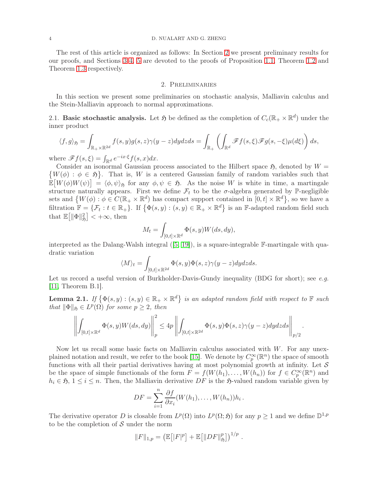#### 4 D. NUALART AND G. ZHENG

The rest of this article is organized as follows: In Section [2](#page-3-1) we present preliminary results for our proofs, and Sections [3](#page-6-0) [4,](#page-7-0) [5](#page-10-1) are devoted to the proofs of Proposition [1.1,](#page-1-0) Theorem [1.2](#page-1-1) and Theorem [1.3](#page-2-1) respectively.

## 2. Preliminaries

<span id="page-3-1"></span>In this section we present some preliminaries on stochastic analysis, Malliavin calculus and the Stein-Malliavin approach to normal approximations.

<span id="page-3-0"></span>2.1. Basic stochastic analysis. Let  $\mathfrak{H}$  be defined as the completion of  $C_c(\mathbb{R}_+ \times \mathbb{R}^d)$  under the inner product

$$
\langle f, g \rangle_{\mathfrak{H}} = \int_{\mathbb{R}_+ \times \mathbb{R}^{2d}} f(s, y) g(s, z) \gamma(y - z) dy dz ds = \int_{\mathbb{R}_+} \left( \int_{\mathbb{R}^d} \mathscr{F} f(s, \xi) \mathscr{F} g(s, -\xi) \mu(d\xi) \right) ds,
$$

where  $\mathscr{F}f(s,\xi) = \int_{\mathbb{R}^d} e^{-ix\cdot\xi} f(s,x) dx$ .

 $\{W(\phi) : \phi \in \mathfrak{H}\}\.$  That is, W is a centered Gaussian family of random variables such that Consider an isonormal Gaussian process associated to the Hilbert space  $\mathfrak{H}$ , denoted by  $W =$  $\mathbb{E}[W(\phi)W(\psi)] = \langle \phi, \psi \rangle_{\mathfrak{H}}$  for any  $\phi, \psi \in \mathfrak{H}$ . As the noise W is white in time, a martingale structure naturally appears. First we define  $\mathcal{F}_t$  to be the  $\sigma$ -algebra generated by P-negligible sets and  $\{W(\phi): \phi \in C(\mathbb{R}_+ \times \mathbb{R}^d) \text{ has compact support contained in } [0, t] \times \mathbb{R}^d\},\$  so we have a filtration  $\mathbb{F} = \{ \mathcal{F}_t : t \in \mathbb{R}_+ \}$ . If  $\{ \Phi(s, y) : (s, y) \in \mathbb{R}_+ \times \mathbb{R}^d \}$  is an F-adapted random field such that  $\mathbb{E}\left[\|\Phi\|_{\mathfrak{H}}^2\right] < +\infty$ , then

$$
M_t = \int_{[0,t] \times \mathbb{R}^d} \Phi(s, y) W(ds, dy),
$$

interpreted as the Dalang-Walsh integral  $([5, 19])$  $([5, 19])$  $([5, 19])$  $([5, 19])$ , is a square-integrable  $\mathbb{F}\text{-martingale with qua-}$ dratic variation

$$
\langle M\rangle_t=\int_{[0,t]\times\mathbb{R}^{2d}}\Phi(s,y)\Phi(s,z)\gamma(y-z)dydzds.
$$

Let us record a useful version of Burkholder-Davis-Gundy inequality (BDG for short); see *e.g.* [\[11,](#page-18-12) Theorem B.1].

<span id="page-3-2"></span>**Lemma 2.1.** If  $\{\Phi(s, y) : (s, y) \in \mathbb{R}_+ \times \mathbb{R}^d\}$  is an adapted random field with respect to  $\mathbb{F}$  such *that*  $\|\Phi\|_{\mathfrak{H}} \in L^p(\Omega)$  *for some*  $p \geq 2$ *, then* 

$$
\left\| \int_{[0,t] \times \mathbb{R}^d} \Phi(s,y) W(ds,dy) \right\|_p^2 \leq 4p \left\| \int_{[0,t] \times \mathbb{R}^{2d}} \Phi(s,y) \Phi(s,z) \gamma(y-z) dydzds \right\|_{p/2}.
$$

Now let us recall some basic facts on Malliavin calculus associated with  $W$ . For any unex-plained notation and result, we refer to the book [\[15\]](#page-18-13). We denote by  $C_p^{\infty}(\mathbb{R}^n)$  the space of smooth functions with all their partial derivatives having at most polynomial growth at infinity. Let  $S$ be the space of simple functionals of the form  $F = f(W(h_1), \ldots, W(h_n))$  for  $f \in C_p^{\infty}(\mathbb{R}^n)$  and  $h_i \in \mathfrak{H}, 1 \leq i \leq n$ . Then, the Malliavin derivative DF is the  $\mathfrak{H}$ -valued random variable given by

$$
DF = \sum_{i=1}^{n} \frac{\partial f}{\partial x_i} (W(h_1), \dots, W(h_n)) h_i.
$$

The derivative operator D is closable from  $L^p(\Omega)$  into  $L^p(\Omega; \mathfrak{H})$  for any  $p \geq 1$  and we define  $\mathbb{D}^{1,p}$ to be the completion of  $S$  under the norm

$$
||F||_{1,p} = \left(\mathbb{E}\big[|F|^p\big] + \mathbb{E}\big[||DF||_{\mathfrak{H}}^p\big]\right)^{1/p}.
$$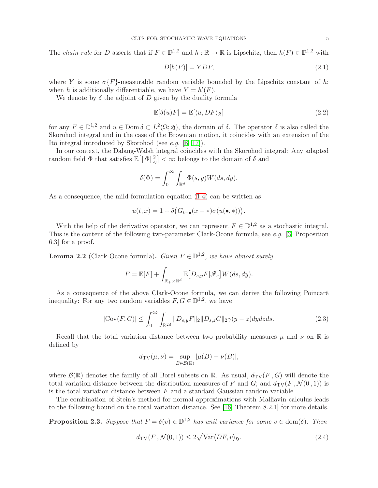The *chain rule* for D asserts that if  $F \in \mathbb{D}^{1,2}$  and  $h : \mathbb{R} \to \mathbb{R}$  is Lipschitz, then  $h(F) \in \mathbb{D}^{1,2}$  with

<span id="page-4-1"></span>
$$
D[h(F)] = YDF,\t\t(2.1)
$$

where Y is some  $\sigma\{F\}$ -measurable random variable bounded by the Lipschitz constant of h; when h is additionally differentiable, we have  $Y = h'(F)$ .

We denote by  $\delta$  the adjoint of D given by the duality formula

<span id="page-4-3"></span>
$$
\mathbb{E}[\delta(u)F] = \mathbb{E}[\langle u, DF \rangle_{\mathfrak{H}}]
$$
\n(2.2)

for any  $F \in \mathbb{D}^{1,2}$  and  $u \in \text{Dom }\delta \subset L^2(\Omega, \mathfrak{H})$ , the domain of  $\delta$ . The operator  $\delta$  is also called the Skorohod integral and in the case of the Brownian motion, it coincides with an extension of the Itô integral introduced by Skorohod (see *e.g.* [\[8,](#page-18-14) [17\]](#page-18-15)).

In our context, the Dalang-Walsh integral coincides with the Skorohod integral: Any adapted random field  $\Phi$  that satisfies  $\mathbb{E} \big[ \| \Phi \|_{\mathfrak{H}}^2 \big] < \infty$  belongs to the domain of  $\delta$  and

$$
\delta(\Phi) = \int_0^\infty \int_{\mathbb{R}^d} \Phi(s, y) W(ds, dy).
$$

As a consequence, the mild formulation equation [\(1.4\)](#page-0-1) can be written as

$$
u(t,x)=1+\delta\big(G_{t-\bullet}(x-\ast)\sigma(u(\bullet,\ast))\big).
$$

With the help of the derivative operator, we can represent  $F \in \mathbb{D}^{1,2}$  as a stochastic integral. This is the content of the following two-parameter Clark-Ocone formula, see *e.g.* [\[3,](#page-18-16) Proposition 6.3] for a proof.

<span id="page-4-4"></span>**Lemma 2.2** (Clark-Ocone formula). *Given*  $F \in \mathbb{D}^{1,2}$ , we have almost surely

$$
F = \mathbb{E}[F] + \int_{\mathbb{R}_+ \times \mathbb{R}^d} \mathbb{E}\big[D_{s,y}F|\mathscr{F}_s\big] W(ds,dy).
$$

As a consequence of the above Clark-Ocone formula, we can derive the following Poincaré inequality: For any two random variables  $F, G \in \mathbb{D}^{1,2}$ , we have

<span id="page-4-0"></span>
$$
|\text{Cov}(F, G)| \le \int_0^\infty \int_{\mathbb{R}^{2d}} \|D_{s,y}F\|_2 \|D_{s,z}G\|_2 \gamma(y-z) dy dz ds. \tag{2.3}
$$

Recall that the total variation distance between two probability measures  $\mu$  and  $\nu$  on  $\mathbb R$  is defined by

$$
d_{\mathrm{TV}}(\mu, \nu) = \sup_{B \in \mathcal{B}(\mathbb{R})} |\mu(B) - \nu(B)|,
$$

where  $\mathcal{B}(\mathbb{R})$  denotes the family of all Borel subsets on  $\mathbb{R}$ . As usual,  $d_{\text{TV}}(F, G)$  will denote the total variation distance between the distribution measures of F and G; and  $d_{\text{TV}}(F, \mathcal{N}(0, 1))$  is is the total variation distance between  $F$  and a standard Gaussian random variable.

The combination of Stein's method for normal approximations with Malliavin calculus leads to the following bound on the total variation distance. See [\[16,](#page-18-17) Theorem 8.2.1] for more details.

<span id="page-4-2"></span>**Proposition 2.3.** *Suppose that*  $F = \delta(v) \in \mathbb{D}^{1,2}$  *has unit variance for some*  $v \in \text{dom}(\delta)$ *. Then* 

$$
d_{\text{TV}}(F, \mathcal{N}(0, 1)) \le 2\sqrt{\text{Var}\langle DF, v\rangle_{\mathfrak{H}}}.
$$
\n(2.4)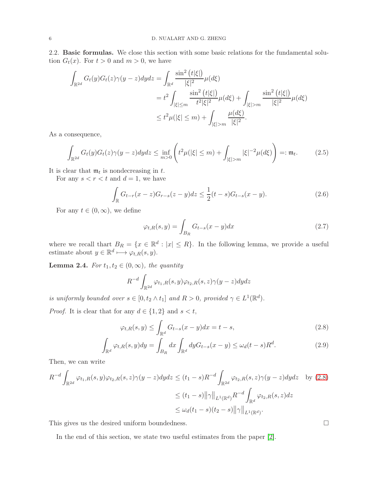2.2. Basic formulas. We close this section with some basic relations for the fundamental solution  $G_t(x)$ . For  $t > 0$  and  $m > 0$ , we have

$$
\int_{\mathbb{R}^{2d}} G_t(y)G_t(z)\gamma(y-z)dydz = \int_{\mathbb{R}^d} \frac{\sin^2(t|\xi|)}{|\xi|^2} \mu(d\xi)
$$
  
=  $t^2 \int_{|\xi| \le m} \frac{\sin^2(t|\xi|)}{t^2|\xi|^2} \mu(d\xi) + \int_{|\xi| > m} \frac{\sin^2(t|\xi|)}{|\xi|^2} \mu(d\xi)$   
 $\le t^2 \mu(|\xi| \le m) + \int_{|\xi| > m} \frac{\mu(d\xi)}{|\xi|^2}.$ 

As a consequence,

<span id="page-5-3"></span>
$$
\int_{\mathbb{R}^{2d}} G_t(y)G_t(z)\gamma(y-z)dydz \le \inf_{m>0} \left( t^2\mu(|\xi| \le m) + \int_{|\xi|>m} |\xi|^{-2}\mu(d\xi) \right) =: \mathfrak{m}_t. \tag{2.5}
$$

It is clear that  $\mathfrak{m}_t$  is nondecreasing in t.

For any  $s < r < t$  and  $d = 1$ , we have

<span id="page-5-4"></span>
$$
\int_{\mathbb{R}} G_{t-r}(x-z)G_{r-s}(z-y)dz \le \frac{1}{2}(t-s)G_{t-s}(x-y). \tag{2.6}
$$

For any  $t \in (0, \infty)$ , we define

<span id="page-5-1"></span>
$$
\varphi_{t,R}(s,y) = \int_{B_R} G_{t-s}(x-y)dx\tag{2.7}
$$

where we recall thart  $B_R = \{x \in \mathbb{R}^d : |x| \leq R\}$ . In the following lemma, we provide a useful estimate about  $y \in \mathbb{R}^d \mapsto \varphi_{t,R}(s,y)$ .

<span id="page-5-2"></span>**Lemma 2.4.** *For*  $t_1, t_2 \in (0, \infty)$ *, the quantity* 

$$
R^{-d} \int_{\mathbb{R}^{2d}} \varphi_{t_1,R}(s,y) \varphi_{t_2,R}(s,z) \gamma(y-z) dy dz
$$

*is uniformly bounded over*  $s \in [0, t_2 \wedge t_1]$  *and*  $R > 0$ *, provided*  $\gamma \in L^1(\mathbb{R}^d)$ *.* 

*Proof.* It is clear that for any  $d \in \{1, 2\}$  and  $s < t$ ,

$$
\varphi_{t,R}(s,y) \le \int_{\mathbb{R}^d} G_{t-s}(x-y)dx = t-s,
$$
\n(2.8)

$$
\int_{\mathbb{R}^d} \varphi_{t,R}(s,y) dy = \int_{B_R} dx \int_{\mathbb{R}^d} dy G_{t-s}(x-y) \le \omega_d(t-s) R^d.
$$
\n(2.9)

Then, we can write

$$
R^{-d} \int_{\mathbb{R}^{2d}} \varphi_{t_1, R}(s, y) \varphi_{t_2, R}(s, z) \gamma(y - z) dy dz \le (t_1 - s) R^{-d} \int_{\mathbb{R}^{2d}} \varphi_{t_2, R}(s, z) \gamma(y - z) dy dz \text{ by (2.8)}
$$
  

$$
\le (t_1 - s) \|\gamma\|_{L^1(\mathbb{R}^d)} R^{-d} \int_{\mathbb{R}^d} \varphi_{t_2, R}(s, z) dz
$$
  

$$
\le \omega_d (t_1 - s) (t_2 - s) \|\gamma\|_{L^1(\mathbb{R}^d)}.
$$

This gives us the desired uniform boundedness.

In the end of this section, we state two useful estimates from the paper [\[2\]](#page-18-7).

<span id="page-5-0"></span>
$$
\qquad \qquad \Box
$$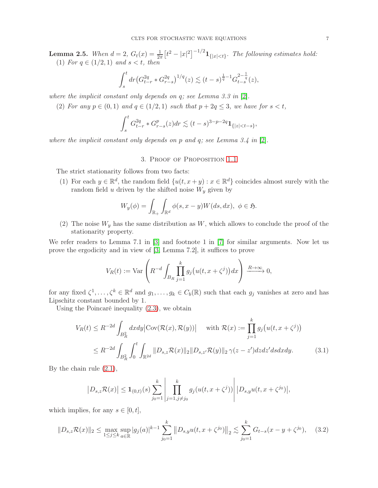<span id="page-6-3"></span>**Lemma 2.5.** When  $d = 2$ ,  $G_t(x) = \frac{1}{2\pi} \left[ t^2 - |x|^2 \right]^{-1/2} 1_{\{|x| < t\}}$ . The following estimates hold: (1) *For*  $q \in (1/2, 1)$  *and*  $s < t$ *, then* 

$$
\int_{s}^{t} dr \left( G_{t-r}^{2q} * G_{r-s}^{2q} \right)^{1/q}(z) \lesssim (t-s)^{\frac{1}{q}-1} G_{t-s}^{2-\frac{1}{q}}(z),
$$

*where the implicit constant only depends on* q*; see Lemma 3.3 in* [\[2\]](#page-18-7)*.*

(2) *For any*  $p \in (0,1)$  *and*  $q \in (1/2,1)$  *such that*  $p + 2q \leq 3$ *, we have for*  $s < t$ *,* 

$$
\int_{s}^{t} G_{t-r}^{2q} * G_{r-s}^{p}(z) dr \lesssim (t-s)^{3-p-2q} \mathbf{1}_{\{|z| < t-s\}},
$$

<span id="page-6-0"></span>*where the implicit constant only depends on* p *and* q*; see Lemma 3.4 in* [\[2\]](#page-18-7)*.*

### 3. Proof of Proposition [1.1](#page-1-0)

The strict stationarity follows from two facts:

(1) For each  $y \in \mathbb{R}^d$ , the random field  $\{u(t, x+y) : x \in \mathbb{R}^d\}$  coincides almost surely with the random field u driven by the shifted noise  $W_y$  given by

$$
W_y(\phi) = \int_{\mathbb{R}_+} \int_{\mathbb{R}^d} \phi(s, x - y) W(ds, dx), \ \phi \in \mathfrak{H}.
$$

(2) The noise  $W_y$  has the same distribution as  $W$ , which allows to conclude the proof of the stationarity property.

We refer readers to Lemma 7.1 in [\[3\]](#page-18-16) and footnote 1 in [\[7\]](#page-18-6) for similar arguments. Now let us prove the ergodicity and in view of [\[3,](#page-18-16) Lemma 7.2], it suffices to prove

<span id="page-6-2"></span>
$$
V_R(t) := \text{Var}\left(R^{-d} \int_{B_R} \prod_{j=1}^k g_j(u(t, x + \zeta^j)) dx\right) \xrightarrow{R \to \infty} 0,
$$

for any fixed  $\zeta^1, \ldots, \zeta^k \in \mathbb{R}^d$  and  $g_1, \ldots, g_k \in C_b(\mathbb{R})$  such that each  $g_j$  vanishes at zero and has Lipschitz constant bounded by 1.

Using the Poincaré inequality [\(2.3\)](#page-4-0), we obtain

$$
V_R(t) \le R^{-2d} \int_{B_R^2} dx dy \left| \text{Cov}(\mathcal{R}(x), \mathcal{R}(y)) \right| \quad \text{with } \mathcal{R}(x) := \prod_{j=1}^k g_j(u(t, x + \zeta^j))
$$
  

$$
\le R^{-2d} \int_{B_R^2} \int_0^t \int_{\mathbb{R}^{2d}} \|D_{s,z}\mathcal{R}(x)\|_2 \|D_{s,z'}\mathcal{R}(y)\|_2 \gamma(z - z') dz dz' ds dx dy. \tag{3.1}
$$

By the chain rule [\(2.1\)](#page-4-1),

$$
|D_{s,z}\mathcal{R}(x)| \leq \mathbf{1}_{(0,t)}(s) \sum_{j_0=1}^k \left| \prod_{j=1,j\neq j_0}^k g_j(u(t,x+\zeta^j)) \right| |D_{s,y}u(t,x+\zeta^{j_0})|,
$$

which implies, for any  $s \in [0, t]$ ,

<span id="page-6-1"></span>
$$
||D_{s,z}\mathcal{R}(x)||_2 \le \max_{1 \le j \le k} \sup_{a \in \mathbb{R}} |g_j(a)|^{k-1} \sum_{j_0=1}^k ||D_{s,y}u(t, x + \zeta^{j_0})||_2 \lesssim \sum_{j_0=1}^k G_{t-s}(x - y + \zeta^{j_0}), \quad (3.2)
$$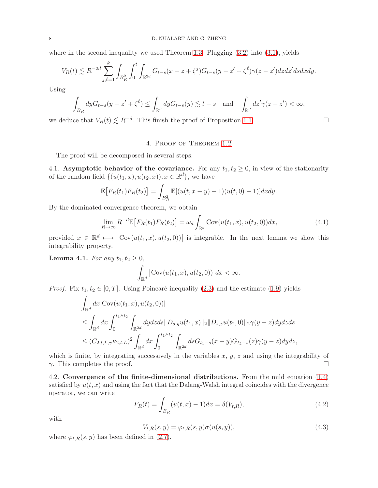where in the second inequality we used Theorem [1.3.](#page-2-1) Plugging  $(3.2)$  into  $(3.1)$ , yields

$$
V_R(t) \lesssim R^{-2d} \sum_{j,\ell=1}^k \int_{B_R^2} \int_0^t \int_{\mathbb{R}^{2d}} G_{t-s}(x-z+\zeta^j) G_{t-s}(y-z'+\zeta^{\ell}) \gamma(z-z') dz dz' ds dx dy.
$$

Using

$$
\int_{B_R} dy G_{t-s}(y-z'+\zeta^{\ell}) \le \int_{\mathbb{R}^d} dy G_{t-s}(y) \lesssim t-s \quad \text{and} \quad \int_{\mathbb{R}^d} dz' \gamma(z-z') < \infty,
$$

<span id="page-7-0"></span>we deduce that  $V_R(t) \lesssim R^{-d}$ . This finish the proof of Proposition [1.1.](#page-1-0)

### 4. Proof of Theorem [1.2](#page-1-1)

The proof will be decomposed in several steps.

<span id="page-7-3"></span>4.1. Asymptotic behavior of the covariance. For any  $t_1, t_2 \geq 0$ , in view of the stationarity of the random field  $\{(u(t_1,x), u(t_2,x)), x \in \mathbb{R}^d\}$ , we have

$$
\mathbb{E}\big[F_R(t_1)F_R(t_2)\big] = \int_{B_R^2} \mathbb{E}[(u(t, x - y) - 1)(u(t, 0) - 1)]dxdy.
$$

By the dominated convergence theorem, we obtain

<span id="page-7-2"></span>
$$
\lim_{R \to \infty} R^{-d} \mathbb{E}\big[F_R(t_1) F_R(t_2)\big] = \omega_d \int_{\mathbb{R}^d} \text{Cov}(u(t_1, x), u(t_2, 0)) dx,\tag{4.1}
$$

provided  $x \in \mathbb{R}^d \mapsto |\text{Cov}(u(t_1, x), u(t_2, 0))|$  is integrable. In the next lemma we show this integrability property.

**Lemma 4.1.** *For any*  $t_1, t_2 \geq 0$ *,* 

$$
\int_{\mathbb{R}^d} |\text{Cov}(u(t_1, x), u(t_2, 0))| dx < \infty.
$$

*Proof.* Fix  $t_1, t_2 \in [0, T]$ . Using Poincaré inequality [\(2.3\)](#page-4-0) and the estimate [\(1.9\)](#page-2-0) yields

$$
\int_{\mathbb{R}^d} dx |\text{Cov}(u(t_1, x), u(t_2, 0))|
$$
\n
$$
\leq \int_{\mathbb{R}^d} dx \int_0^{t_1 \wedge t_2} \int_{\mathbb{R}^{2d}} dy dz ds ||D_{s,y}u(t_1, x)||_2 ||D_{s,z}u(t_2, 0)||_2 \gamma(y - z) dy dz ds
$$
\n
$$
\leq (C_{2,t,L,\gamma} \kappa_{2,t,L})^2 \int_{\mathbb{R}^d} dx \int_0^{t_1 \wedge t_2} \int_{\mathbb{R}^{2d}} ds G_{t_1 - s}(x - y) G_{t_2 - s}(z) \gamma(y - z) dy dz,
$$

which is finite, by integrating successively in the variables  $x, y, z$  and using the integrability of  $\gamma$ . This completes the proof.

<span id="page-7-4"></span>4.2. Convergence of the finite-dimensional distributions. From the mild equation [\(1.4\)](#page-0-1) satisfied by  $u(t, x)$  and using the fact that the Dalang-Walsh integral coincides with the divergence operator, we can write

<span id="page-7-1"></span>
$$
F_R(t) = \int_{B_R} (u(t, x) - 1) dx = \delta(V_{t,R}),
$$
\n(4.2)

with

$$
V_{t,R}(s,y) = \varphi_{t,R}(s,y)\sigma(u(s,y)),\tag{4.3}
$$

where  $\varphi_{t,R}(s, y)$  has been defined in [\(2.7\)](#page-5-1).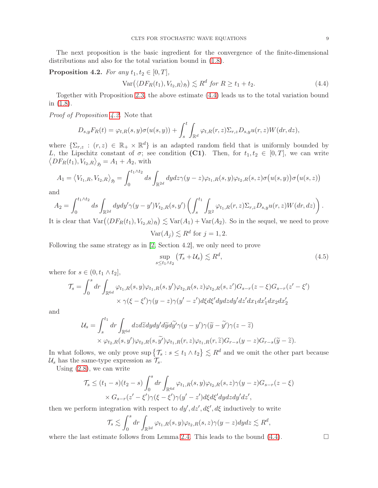The next proposition is the basic ingredient for the convergence of the finite-dimensional distributions and also for the total variation bound in [\(1.8\)](#page-1-3).

## <span id="page-8-1"></span>**Proposition 4.2.** *For any*  $t_1, t_2 \in [0, T]$ ,

<span id="page-8-0"></span>
$$
Var(\langle DF_R(t_1), V_{t_2, R} \rangle_{\mathfrak{H}}) \lesssim R^d \text{ for } R \ge t_1 + t_2. \tag{4.4}
$$

Together with Proposition [2.3,](#page-4-2) the above estimate [\(4.4\)](#page-8-0) leads us to the total variation bound in [\(1.8\)](#page-1-3).

*Proof of Proposition [4.2.](#page-8-1)* Note that

$$
D_{s,y}F_R(t) = \varphi_{t,R}(s,y)\sigma(u(s,y)) + \int_s^t \int_{\mathbb{R}^d} \varphi_{t,R}(r,z) \Sigma_{r,z} D_{s,y} u(r,z) W(dr,dz),
$$

where  $\{\Sigma_{r,z} : (r,z) \in \mathbb{R}_+ \times \mathbb{R}^d\}$  is an adapted random field that is uniformly bounded by L, the Lipschitz constant of  $\sigma$ ; see condition (C1). Then, for  $t_1, t_2 \in [0, T]$ , we can write  $\langle DF_R(t_1), V_{t_2,R} \rangle_{\mathfrak{H}} = A_1 + A_2$ , with

$$
A_1 = \langle V_{t_1,R}, V_{t_2,R} \rangle_{\mathfrak{H}} = \int_0^{t_1 \wedge t_2} ds \int_{\mathbb{R}^{2d}} dy dz \gamma(y-z) \varphi_{t_1,R}(s,y) \varphi_{t_2,R}(s,z) \sigma(u(s,y)) \sigma(u(s,z))
$$

and

$$
A_2 = \int_0^{t_1 \wedge t_2} ds \int_{\mathbb{R}^{2d}} dy dy' \gamma(y - y') V_{t_2, R}(s, y') \left( \int_s^{t_1} \int_{\mathbb{R}^2} \varphi_{t_1, R}(r, z) \Sigma_{r, z} D_{s, y} u(r, z) W(dr, dz) \right).
$$

It is clear that  $\text{Var}(\langle DF_R(t_1), V_{t_2, R} \rangle_{\mathfrak{H}}) \lesssim \text{Var}(A_1) + \text{Var}(A_2)$ . So in the sequel, we need to prove

$$
\text{Var}(A_j) \lesssim R^d \text{ for } j = 1, 2.
$$

Following the same strategy as in [\[2,](#page-18-7) Section 4.2], we only need to prove

$$
\sup_{s \le t_1 \wedge t_2} \left( \mathcal{T}_s + \mathcal{U}_s \right) \lesssim R^d,\tag{4.5}
$$

where for  $s \in (0, t_1 \wedge t_2]$ ,

$$
\mathcal{T}_s = \int_0^s dr \int_{\mathbb{R}^{6d}} \varphi_{t_1,R}(s,y) \varphi_{t_1,R}(s,y') \varphi_{t_2,R}(s,z) \varphi_{t_2,R}(s,z') G_{s-r}(z-\xi) G_{s-r}(z'-\xi')
$$
  
 
$$
\times \gamma(\xi - \xi') \gamma(y-z) \gamma(y'-z') d\xi d\xi' dy dz dy' dz' dx_1 dx_1' dx_2 dx_2'
$$

and

$$
\mathcal{U}_{s} = \int_{s}^{t_{1}} dr \int_{\mathbb{R}^{6d}} dz d\tilde{z} dy dy' d\tilde{y} d\tilde{y}' \gamma(y - y') \gamma(\tilde{y} - \tilde{y}') \gamma(z - \tilde{z})
$$
  
 
$$
\times \varphi_{t_{2},R}(s, y') \varphi_{t_{2},R}(s, \tilde{y}') \varphi_{t_{1},R}(r, z) \varphi_{t_{1},R}(r, \tilde{z}) G_{r-s}(y - z) G_{r-s}(\tilde{y} - \tilde{z}).
$$

In what follows, we only prove  $\text{sup}\left\{\mathcal{T}_s : s \leq t_1 \wedge t_2\right\} \lesssim R^d$  and we omit the other part because  $\mathcal{U}_s$  has the same-type expression as  $\mathcal{T}_s$ .

Using [\(2.8\)](#page-5-0), we can write

$$
\mathcal{T}_s \le (t_1 - s)(t_2 - s) \int_0^s dr \int_{\mathbb{R}^{6d}} \varphi_{t_1, R}(s, y) \varphi_{t_2, R}(s, z) \gamma(y - z) G_{s - r}(z - \xi)
$$
  
 
$$
\times G_{s - r}(z' - \xi') \gamma(\xi - \xi') \gamma(y' - z') d\xi d\xi' dy dz dy' dz',
$$

then we perform integration with respect to  $dy'$ ,  $dz'$ ,  $d\xi'$ ,  $d\xi$  inductively to write

$$
\mathcal{T}_s \lesssim \int_0^s dr \int_{\mathbb{R}^{2d}} \varphi_{t_1,R}(s,y) \varphi_{t_2,R}(s,z) \gamma(y-z) dy dz \lesssim R^d,
$$

where the last estimate follows from Lemma [2.4.](#page-5-2) This leads to the bound  $(4.4)$ .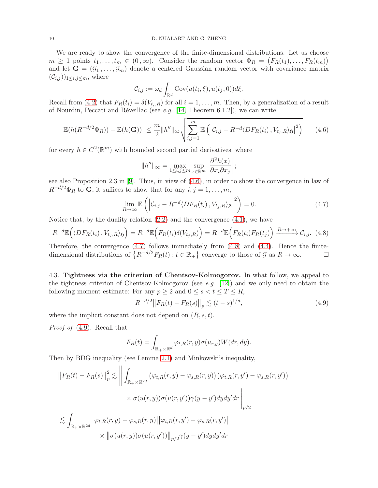#### 10 D. NUALART AND G. ZHENG

We are ready to show the convergence of the finite-dimensional distributions. Let us choose  $m \geq 1$  points  $t_1, \ldots, t_m \in (0, \infty)$ . Consider the random vector  $\Phi_R = (F_R(t_1), \ldots, F_R(t_m))$ and let  $\mathbf{G} = (\mathcal{G}_1, \ldots, \mathcal{G}_m)$  denote a centered Gaussian random vector with covariance matrix  $(\mathcal{C}_{i,j})_{1\leq i,j\leq m}$ , where

$$
\mathcal{C}_{i,j} := \omega_d \int_{\mathbb{R}^d} \text{Cov}(u(t_i,\xi),u(t_j,0))d\xi.
$$

Recall from [\(4.2\)](#page-7-1) that  $F_R(t_i) = \delta(V_{t_i,R})$  for all  $i = 1, \ldots, m$ . Then, by a generalization of a result of Nourdin, Peccati and Réveillac (see *e.g.* [\[14,](#page-18-3) Theorem 6.1.2]), we can write

<span id="page-9-0"></span>
$$
\left| \mathbb{E}(h(R^{-d/2}\Phi_R)) - \mathbb{E}(h(\mathbf{G})) \right| \leq \frac{m}{2} \|h''\|_{\infty} \sqrt{\sum_{i,j=1}^m \mathbb{E}\left( \left| \mathcal{C}_{i,j} - R^{-d} \langle DF_R(t_i), V_{t_j,R} \rangle_{\mathfrak{H}} \right|^2 \right)} \tag{4.6}
$$

for every  $h \in C^2(\mathbb{R}^m)$  with bounded second partial derivatives, where

<span id="page-9-2"></span>
$$
||h''||_{\infty} = \max_{1 \le i,j \le m} \sup_{x \in \mathbb{R}^m} \left| \frac{\partial^2 h(x)}{\partial x_i \partial x_j} \right|;
$$

see also Proposition 2.3 in [\[9\]](#page-18-4). Thus, in view of [\(4.6\)](#page-9-0), in order to show the convergence in law of  $R^{-d/2}\Phi_R$  to **G**, it suffices to show that for any  $i, j = 1, \ldots, m$ ,

<span id="page-9-1"></span>
$$
\lim_{R \to \infty} \mathbb{E}\left( \left| \mathcal{C}_{i,j} - R^{-d} \langle DF_R(t_i), V_{t_j, R} \rangle_{\mathfrak{H}} \right|^2 \right) = 0. \tag{4.7}
$$

Notice that, by the duality relation  $(2.2)$  and the convergence  $(4.1)$ , we have

$$
R^{-d}\mathbb{E}(\langle DF_R(t_i), V_{t_j, R} \rangle_{\mathfrak{H}}) = R^{-d}\mathbb{E}\Big(F_R(t_i)\delta(V_{t_j, R})\Big) = R^{-d}\mathbb{E}\Big(F_R(t_i)F_R(t_j)\Big) \xrightarrow{R \to +\infty} \mathcal{C}_{i,j}.\tag{4.8}
$$

Therefore, the convergence  $(4.7)$  follows immediately from  $(4.8)$  and  $(4.4)$ . Hence the finitedimensional distributions of  $\{R^{-d/2}F_R(t): t \in \mathbb{R}_+\}$  converge to those of  $\mathcal G$  as  $R \to \infty$ .

<span id="page-9-4"></span>4.3. Tightness via the criterion of Chentsov-Kolmogorov. In what follow, we appeal to the tightness criterion of Chentsov-Kolmogorov (see *e.g.* [\[12\]](#page-18-2)) and we only need to obtain the following moment estimate: For any  $p \ge 2$  and  $0 \le s < t \le T \le R$ ,

<span id="page-9-3"></span>
$$
R^{-d/2} \|F_R(t) - F_R(s)\|_p \lesssim (t-s)^{1/d},\tag{4.9}
$$

where the implicit constant does not depend on  $(R, s, t)$ .

*Proof of* [\(4.9\)](#page-9-3)*.* Recall that

$$
F_R(t) = \int_{\mathbb{R}_+ \times \mathbb{R}^d} \varphi_{t,R}(r,y) \sigma(u_{r,y}) W(dr,dy).
$$

Then by BDG inequality (see Lemma [2.1\)](#page-3-2) and Minkowski's inequality,

$$
||F_R(t) - F_R(s)||_p^2 \lesssim \left\| \int_{\mathbb{R}_+ \times \mathbb{R}^{2d}} (\varphi_{t,R}(r, y) - \varphi_{s,R}(r, y)) (\varphi_{t,R}(r, y') - \varphi_{s,R}(r, y')) \times \sigma(u(r, y)) \sigma(u(r, y')) \gamma(y - y') dy dy' dr \right\|_{p/2}
$$
  

$$
\lesssim \int_{\mathbb{R}_+ \times \mathbb{R}^{2d}} |\varphi_{t,R}(r, y) - \varphi_{s,R}(r, y)| |\varphi_{t,R}(r, y') - \varphi_{s,R}(r, y')|
$$

$$
\times ||\sigma(u(r, y))\sigma(u(r, y'))||_{p/2} \gamma(y - y') dy dy' dr
$$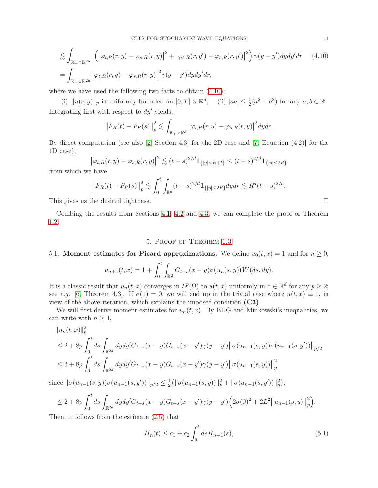$$
\lesssim \int_{\mathbb{R}_+ \times \mathbb{R}^{2d}} \left( \left| \varphi_{t,R}(r,y) - \varphi_{s,R}(r,y) \right|^2 + \left| \varphi_{t,R}(r,y') - \varphi_{s,R}(r,y') \right|^2 \right) \gamma(y-y') dy dy' dr \quad (4.10)
$$
  
= 
$$
\int_{\mathbb{R}_+ \times \mathbb{R}^{2d}} \left| \varphi_{t,R}(r,y) - \varphi_{s,R}(r,y) \right|^2 \gamma(y-y') dy dy' dr,
$$

where we have used the following two facts to obtain [\(4.10\)](#page-10-2):

(i)  $||u(r, y)||_p$  is uniformly bounded on  $[0, T] \times \mathbb{R}^d$ , (ii)  $|ab| \leq \frac{1}{2}(a^2 + b^2)$  for any  $a, b \in \mathbb{R}$ . Integrating first with respect to  $dy'$  yields,

<span id="page-10-2"></span>
$$
\left\|F_R(t) - F_R(s)\right\|_p^2 \lesssim \int_{\mathbb{R}_+ \times \mathbb{R}^d} \left|\varphi_{t,R}(r,y) - \varphi_{s,R}(r,y)\right|^2 dy dr.
$$

By direct computation (see also [\[2,](#page-18-7) Section 4.3] for the 2D case and [\[7,](#page-18-6) Equation (4.2)] for the 1D case),

$$
\left|\varphi_{t,R}(r,y) - \varphi_{s,R}(r,y)\right|^2 \lesssim (t-s)^{2/d} \mathbf{1}_{\{|y| \le R+t\}} \le (t-s)^{2/d} \mathbf{1}_{\{|y| \le 2R\}}
$$

from which we have

$$
\left\|F_R(t) - F_R(s)\right\|_p^2 \lesssim \int_0^t \int_{\mathbb{R}^d} (t-s)^{2/d} \mathbf{1}_{\{|y| \le 2R\}} dy dr \lesssim R^d (t-s)^{2/d}.
$$

This gives us the desired tightness.

<span id="page-10-1"></span>Combing the results from Sections [4.1,](#page-7-3) [4.2](#page-7-4) and [4.3,](#page-9-4) we can complete the proof of Theorem [1.2.](#page-1-1)

## 5. Proof of Theorem [1.3](#page-2-1)

## <span id="page-10-0"></span>5.1. Moment estimates for Picard approximations. We define  $u_0(t, x) = 1$  and for  $n \ge 0$ ,

$$
u_{n+1}(t,x) = 1 + \int_0^t \int_{\mathbb{R}^2} G_{t-s}(x-y) \sigma(u_n(s,y)) W(ds, dy).
$$

It is a classic result that  $u_n(t, x)$  converges in  $L^p(\Omega)$  to  $u(t, x)$  uniformly in  $x \in \mathbb{R}^d$  for any  $p \geq 2$ ; see *e.g.* [\[6,](#page-18-1) Theorem 4.3]. If  $\sigma(1) = 0$ , we will end up in the trivial case where  $u(t, x) \equiv 1$ , in view of the above iteration, which explains the imposed condition (C3).

We will first derive moment estimates for  $u_n(t, x)$ . By BDG and Minkowski's inequalities, we can write with  $n \geq 1$ ,

$$
||u_n(t,x)||_p^2
$$
  
\n
$$
\leq 2 + 8p \int_0^t ds \int_{\mathbb{R}^{2d}} dy dy' G_{t-s}(x-y) G_{t-s}(x-y') \gamma(y-y') ||\sigma(u_{n-1}(s,y))\sigma(u_{n-1}(s,y'))||_{p/2}
$$
  
\n
$$
\leq 2 + 8p \int_0^t ds \int_{\mathbb{R}^{2d}} dy dy' G_{t-s}(x-y) G_{t-s}(x-y') \gamma(y-y') ||\sigma(u_{n-1}(s,y))||_p^2
$$

since  $\|\sigma(u_{n-1}(s, y))\sigma(u_{n-1}(s, y'))\|_{p/2} \leq \frac{1}{2}$  $\frac{1}{2} ( \|\sigma(u_{n-1}(s,y))\|_p^2 + \|\sigma(u_{n-1}(s,y'))\|_p^2 ) ;$ 

$$
\leq 2 + 8p \int_0^t ds \int_{\mathbb{R}^{2d}} dy dy' G_{t-s}(x-y) G_{t-s}(x-y') \gamma(y-y') \Big(2\sigma(0)^2 + 2L^2 ||u_{n-1}(s,y)||_p^2\Big).
$$

Then, it follows from the estimate [\(2.5\)](#page-5-3) that

<span id="page-10-3"></span>
$$
H_n(t) \le c_1 + c_2 \int_0^t ds H_{n-1}(s),\tag{5.1}
$$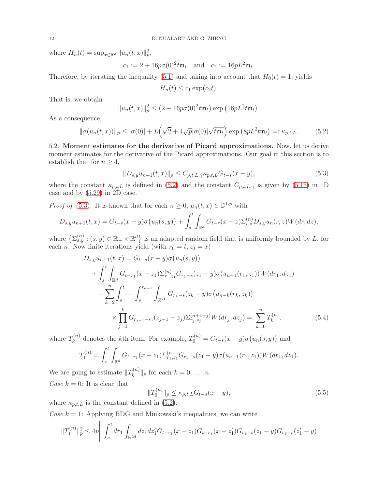where  $H_n(t) = \sup_{x \in \mathbb{R}^d} ||u_n(t, x)||_p^2$ ,

 $c_1 := 2 + 16p\sigma(0)^2 t \mathfrak{m}_t$  and  $c_2 := 16pL^2 \mathfrak{m}_t$ .

Therefore, by iterating the inequality [\(5.1\)](#page-10-3) and taking into account that  $H_0(t) = 1$ , yields

 $H_n(t) \leq c_1 \exp(c_2 t).$ 

That is, we obtain

$$
||u_n(t,x)||_p^2 \le (2 + 16p\sigma(0)^2 t\mathfrak{m}_t) \exp(16pL^2 t\mathfrak{m}_t).
$$

As a consequence,

<span id="page-11-0"></span>
$$
\|\sigma(u_n(t,x))\|_p \le |\sigma(0)| + L\left(\sqrt{2} + 4\sqrt{p}|\sigma(0)|\sqrt{t\mathfrak{m}_t}\right) \exp\left(8pL^2 t\mathfrak{m}_t\right) =: \kappa_{p,t,L}.
$$
 (5.2)

5.2. Moment estimates for the derivative of Picard approximations. Now, let us derive moment estimates for the derivative of the Picard approximations. Our goal in this section is to establish that for  $n \geq 4$ ,

<span id="page-11-1"></span>
$$
||D_{s,y}u_{n+1}(t,x)||_{p} \leq C_{p,t,L,\gamma} \kappa_{p,t,L} G_{t-s}(x-y),
$$
\n(5.3)

where the constant  $\kappa_{p,t,L}$  is defined in [\(5.2\)](#page-11-0) and the constant  $C_{p,t,L,\gamma}$  is given by [\(5.15\)](#page-14-0) in 1D case and by [\(5.29\)](#page-17-0) in 2D case.

*Proof of* [\(5.3\)](#page-11-1). It is known that for each  $n \geq 0$ ,  $u_n(t, x) \in \mathbb{D}^{1,p}$  with

$$
D_{s,y}u_{n+1}(t,x) = G_{t-s}(x-y)\sigma(u_n(s,y)) + \int_s^t \int_{\mathbb{R}^d} G_{t-r}(x-z) \Sigma_{r,z}^{(n)} D_{s,y}u_n(r,z)W(dr,dz),
$$

where  $\left\{\Sigma_{s,y}^{(n)}:(s,y)\in\mathbb{R}_+\times\mathbb{R}^d\right\}$  is an adapted random field that is uniformly bounded by L, for each *n*. Now finite iterations yield (with  $r_0 = t, z_0 = x$ )

$$
D_{s,y}u_{n+1}(t,x) = G_{t-s}(x-y)\sigma(u_n(s,y))
$$
  
+ 
$$
\int_s^t \int_{\mathbb{R}^d} G_{t-r_1}(x-z_1) \Sigma_{r_1,z_1}^{(n)} G_{r_1-s}(z_1-y) \sigma(u_{n-1}(r_1,z_1)) W(dr_1, dz_1)
$$
  
+ 
$$
\sum_{k=2}^n \int_s^t \cdots \int_s^{r_{k-1}} \int_{\mathbb{R}^{2k}} G_{r_k-s}(z_k-y) \sigma(u_{n-k}(r_k,z_k))
$$
  
 
$$
\times \prod_{j=1}^k G_{r_{j-1}-r_j}(z_{j-1}-z_j) \Sigma_{r_j,z_j}^{(n+1-j)} W(dr_j, dz_j) =: \sum_{k=0}^n T_k^{(n)}, \tag{5.4}
$$

where  $T_k^{(n)}$  $g_k^{(n)}$  denotes the kth item. For example,  $T_0^{(n)} = G_{t-s}(x-y)\sigma(u_n(s,y))$  and

$$
T_1^{(n)} = \int_s^t \int_{\mathbb{R}^d} G_{t-r_1}(x-z_1) \Sigma_{r_1,z_1}^{(n)} G_{r_1-s}(z_1-y) \sigma(u_{n-1}(r_1,z_1)) W(dr_1, dz_1).
$$

We are going to estimate  $||T_k^{(n)}||$  $\|k^{(n)}\|_p$  for each  $k = 0, \ldots, n$ . *Case*  $k = 0$ : It is clear that

<span id="page-11-2"></span>
$$
||T_0^{(n)}||_p \le \kappa_{p,t,L} G_{t-s}(x-y),\tag{5.5}
$$

where  $\kappa_{p,t,L}$  is the constant defined in [\(5.2\)](#page-11-0).

*Case*  $k = 1$ : Applying BDG and Minkowski's inequalities, we can write

$$
||T_1^{(n)}||_p^2 \le 4p \bigg||\int_s^t dr_1 \int_{\mathbb{R}^{2d}} dz_1 dz_1' G_{t-r_1}(x-z_1) G_{t-r_1}(x-z_1') G_{r_1-s}(z_1-y) G_{r_1-s}(z_1'-y)
$$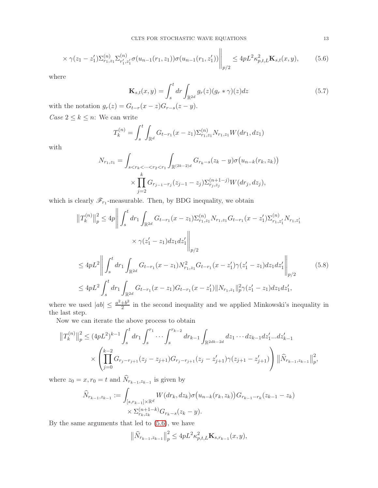$$
\times \gamma(z_1 - z_1') \Sigma_{r_1, z_1}^{(n)} \Sigma_{r_1', z_1'}^{(n)} \sigma(u_{n-1}(r_1, z_1)) \sigma(u_{n-1}(r_1, z_1')) \Bigg\|_{p/2} \le 4pL^2 \kappa_{p,t,L}^2 \mathbf{K}_{s,t}(x, y), \tag{5.6}
$$

where

$$
\mathbf{K}_{s,t}(x,y) = \int_s^t dr \int_{\mathbb{R}^{2d}} g_r(z)(g_r * \gamma)(z) dz
$$
\n(5.7)

with the notation  $g_r(z) = G_{t-r}(x-z)G_{r-s}(z-y)$ . *Case*  $2 \leq k \leq n$ : We can write

$$
T_k^{(n)} = \int_s^t \int_{\mathbb{R}^d} G_{t-r_1}(x-z_1) \Sigma_{r_1, z_1}^{(n)} N_{r_1, z_1} W(dr_1, dz_1)
$$

with

$$
N_{r_1, z_1} = \int_{s < r_k < \dots < r_2 < r_1} \int_{\mathbb{R}^{(2k-2)d}} G_{r_k - s}(z_k - y) \sigma(u_{n-k}(r_k, z_k))
$$
\n
$$
\times \prod_{j=2}^k G_{r_{j-1} - r_j}(z_{j-1} - z_j) \sum_{r_j, z_j}^{(n+1-j)} W(dr_j, dz_j),
$$

which is clearly  $\mathscr{F}_{r_1}$ -measurable. Then, by BDG inequality, we obtain

$$
\|T_{k}^{(n)}\|_{p}^{2} \le 4p \left\| \int_{s}^{t} dr_{1} \int_{\mathbb{R}^{2d}} G_{t-r_{1}}(x-z_{1}) \Sigma_{r_{1},z_{1}}^{(n)} N_{r_{1},z_{1}} G_{t-r_{1}}(x-z_{1}') \Sigma_{r_{1},z_{1}}^{(n)} N_{r_{1},z_{1}'}\right\| \times \gamma(z_{1}'-z_{1}) dz_{1} dz_{1}' \left\| \int_{p/2}^{t} dr_{1} \int_{\mathbb{R}^{2d}} G_{t-r_{1}}(x-z_{1}) N_{r_{1},z_{1}}^{2} G_{t-r_{1}}(x-z_{1}') \gamma(z_{1}'-z_{1}) dz_{1} dz_{1}' \right\|_{p/2} \le 4pL^{2} \int_{s}^{t} dr_{1} \int_{\mathbb{R}^{2d}} G_{t-r_{1}}(x-z_{1}) G_{t-r_{1}}(x-z_{1}') \|N_{r_{1},z_{1}}\|_{p}^{2} \gamma(z_{1}'-z_{1}) dz_{1} dz_{1}',
$$
\n(5.8)

where we used  $|ab| \leq \frac{a^2 + b^2}{2}$  $\frac{+b^2}{2}$  in the second inequality and we applied Minkowski's inequality in the last step.

Now we can iterate the above process to obtain

$$
||T_k^{(n)}||_p^2 \le (4pL^2)^{k-1} \int_s^t dr_1 \int_s^{r_1} \cdots \int_s^{r_{k-2}} dr_{k-1} \int_{\mathbb{R}^{2dk-2d}} dz_1 \cdots dz_{k-1} dz'_1 \cdots dz'_{k-1}
$$
  
 
$$
\times \left( \prod_{j=0}^{k-2} G_{r_j - r_{j+1}}(z_j - z_{j+1}) G_{r_j - r_{j+1}}(z_j - z'_{j+1}) \gamma(z_{j+1} - z'_{j+1}) \right) ||\widehat{N}_{r_{k-1}, z_{k-1}}||_p^2,
$$

where  $z_0 = x, r_0 = t$  and  $N_{r_{k-1},z_{k-1}}$  is given by

$$
\widehat{N}_{r_{k-1},z_{k-1}} := \int_{[s,r_{k-1}]\times\mathbb{R}^d} W(dr_k, dz_k) \sigma(u_{n-k}(r_k, z_k)) G_{r_{k-1}-r_k}(z_{k-1}-z_k)
$$
  
 
$$
\times \Sigma_{r_k, z_k}^{(n+1-k)} G_{r_k-s}(z_k-y).
$$

By the same arguments that led to [\(5.6\)](#page-12-0), we have

$$
\left\|\widehat{N}_{r_{k-1},z_{k-1}}\right\|_{p}^{2} \le 4pL^{2}\kappa_{p,t,L}^{2}\mathbf{K}_{s,r_{k-1}}(x,y),
$$

<span id="page-12-1"></span><span id="page-12-0"></span>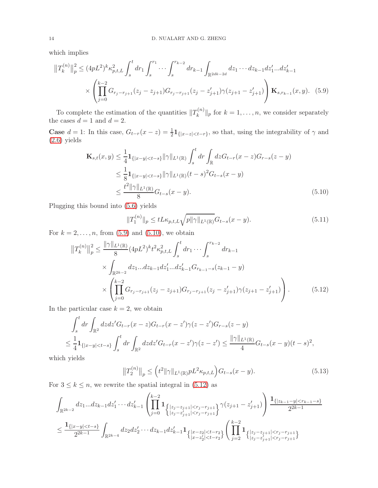which implies

$$
||T_{k}^{(n)}||_{p}^{2} \leq (4pL^{2})^{k} \kappa_{p,t,L}^{2} \int_{s}^{t} dr_{1} \int_{s}^{r_{1}} \cdots \int_{s}^{r_{k-2}} dr_{k-1} \int_{\mathbb{R}^{2dk-2d}} dz_{1} \cdots dz_{k-1} dz'_{1} \cdots dz'_{k-1}
$$

$$
\times \left( \prod_{j=0}^{k-2} G_{r_{j}-r_{j+1}}(z_{j}-z_{j+1}) G_{r_{j}-r_{j+1}}(z_{j}-z'_{j+1}) \gamma(z_{j+1}-z'_{j+1}) \right) \mathbf{K}_{s,r_{k-1}}(x,y). \quad (5.9)
$$

To complete the estimation of the quantities  $||T_k^{(n)}||$  $\|k^{(n)}\|_p$  for  $k = 1, \ldots, n$ , we consider separately the cases  $d = 1$  and  $d = 2$ .

**Case**  $d = 1$ : In this case,  $G_{t-r}(x-z) = \frac{1}{2} \mathbf{1}_{\{|x-z| < t-r\}}$ , so that, using the integrability of  $\gamma$  and [\(2.6\)](#page-5-4) yields

$$
\mathbf{K}_{s,t}(x,y) \leq \frac{1}{4} \mathbf{1}_{\{|x-y| < t-s\}} \|\gamma\|_{L^{1}(\mathbb{R})} \int_{s}^{t} dr \int_{\mathbb{R}} dz G_{t-r}(x-z) G_{r-s}(z-y) \n\leq \frac{1}{8} \mathbf{1}_{\{|x-y| < t-s\}} \|\gamma\|_{L^{1}(\mathbb{R})} (t-s)^{2} G_{t-s}(x-y) \n\leq \frac{t^{2} \|\gamma\|_{L^{1}(\mathbb{R})}}{8} G_{t-s}(x-y).
$$
\n(5.10)

Plugging this bound into [\(5.6\)](#page-12-0) yields

<span id="page-13-3"></span><span id="page-13-2"></span><span id="page-13-1"></span><span id="page-13-0"></span>
$$
||T_1^{(n)}||_p \le tL\kappa_{p,t,L}\sqrt{p||\gamma||_{L^1(\mathbb{R})}}G_{t-s}(x-y). \tag{5.11}
$$

For  $k = 2, ..., n$ , from [\(5.9\)](#page-13-0) and [\(5.10\)](#page-13-1), we obtain

$$
||T_{k}^{(n)}||_{p}^{2} \leq \frac{||\gamma||_{L^{1}(\mathbb{R})}}{8} (4pL^{2})^{k} t^{2} \kappa_{p,t,L}^{2} \int_{s}^{t} dr_{1} \cdots \int_{s}^{r_{k-2}} dr_{k-1}
$$
  
\$\times \int\_{\mathbb{R}^{2k-2}} dz\_{1}...dz\_{k-1}dz'\_{1}...dz'\_{k-1}G\_{r\_{k-1}-s}(z\_{k-1}-y) \$  
\$\times \left( \prod\_{j=0}^{k-2} G\_{r\_{j}-r\_{j+1}}(z\_{j}-z\_{j+1}) G\_{r\_{j}-r\_{j+1}}(z\_{j}-z'\_{j+1}) \gamma(z\_{j+1}-z'\_{j+1}) \right). \tag{5.12}

In the particular case  $k = 2$ , we obtain

$$
\int_{s}^{t} dr \int_{\mathbb{R}^{2}} dz dz' G_{t-r}(x-z) G_{t-r}(x-z') \gamma(z-z') G_{r-s}(z-y)
$$
\n
$$
\leq \frac{1}{4} \mathbf{1}_{\{|x-y| < t-s\}} \int_{s}^{t} dr \int_{\mathbb{R}^{2}} dz dz' G_{t-r}(x-z') \gamma(z-z') \leq \frac{\|\gamma\|_{L^{1}(\mathbb{R})}}{4} G_{t-s}(x-y) (t-s)^{2},
$$

which yields

<span id="page-13-4"></span>
$$
||T_2^{(n)}||_p \le (t^2 ||\gamma||_{L^1(\mathbb{R})} p L^2 \kappa_{p,t,L}) G_{t-s}(x-y).
$$
\n(5.13)

For  $3 \leq k \leq n$ , we rewrite the spatial integral in [\(5.12\)](#page-13-2) as

$$
\int_{\mathbb{R}^{2k-2}} dz_1...dz_{k-1}dz'_1\cdots dz'_{k-1} \left( \prod_{j=0}^{k-2} \mathbf{1}_{ \left\{ \left| z_j - z_{j+1} \right| < r_j - r_{j+1} \right\}} \gamma(z_{j+1} - z'_{j+1}) \right) } \frac{\mathbf{1}_{ \left\{ \left| z_{k-1} - y \right| < r_{k-1} - s \right\}}}{2^{2k-1}} \right)
$$
\n
$$
\leq \frac{\mathbf{1}_{ \left\{ \left| x - y \right| < t - s \right\}}}{2^{2k-1}} \int_{\mathbb{R}^{2k-4}} dz_2 dz'_2 \cdots dz_{k-1} dz'_{k-1} \mathbf{1}_{ \left\{ \left| x - z_2 \right| < t - r_2 \right\}} \left( \prod_{j=2}^{k-2} \mathbf{1}_{ \left\{ \left| z_j - z_{j+1} \right| < r_j - r_{j+1} \right\}} \right)
$$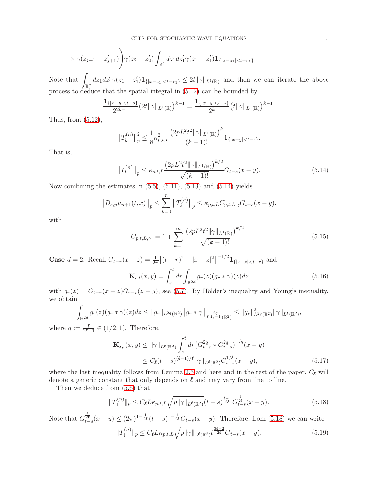$$
\times \gamma(z_{j+1} - z'_{j+1})\Bigg) \gamma(z_2 - z'_2) \int_{\mathbb{R}^2} dz_1 dz'_1 \gamma(z_1 - z'_1) \mathbf{1}_{\{|x - z_1| < t - r_1\}}
$$

Note that  $\int_{\mathbb{R}^2} dz_1 dz'_1 \gamma(z_1 - z'_1) \mathbf{1}_{\{|x - z_1| < t - r_1\}} \leq 2t \|\gamma\|_{L^1(\mathbb{R})}$  and then we can iterate the above process to deduce that the spatial integral in [\(5.12\)](#page-13-2) can be bounded by

$$
\frac{\mathbf{1}_{\{|x-y|&lt-s\}}}{2^{2k-1}}\big(2t\|\gamma\|_{L^1(\mathbb{R})}\big)^{k-1} = \frac{\mathbf{1}_{\{|x-y|&lt-s\}}}{2^k}\big(t\|\gamma\|_{L^1(\mathbb{R})}\big)^{k-1}.
$$

Thus, from [\(5.12\)](#page-13-2),

$$
||T_k^{(n)}||_p^2 \le \frac{1}{8} \kappa_{p,t,L}^2 \frac{\left(2pL^2t^2||\gamma||_{L^1(\mathbb{R})}\right)^k}{(k-1)!} \mathbf{1}_{\{|x-y| < t-s\}}.
$$

That is,

$$
||T_k^{(n)}||_p \le \kappa_{p,t,L} \frac{\left(2pL^2t^2||\gamma||_{L^1(\mathbb{R})}\right)^{k/2}}{\sqrt{(k-1)!}} G_{t-s}(x-y). \tag{5.14}
$$

Now combining the estimates in  $(5.5)$ ,  $(5.11)$ ,  $(5.13)$  and  $(5.14)$  yields

$$
||D_{s,y}u_{n+1}(t,x)||_{p} \leq \sum_{k=0}^{n} ||T_{k}^{(n)}||_{p} \leq \kappa_{p,t,L}C_{p,t,L,\gamma}G_{t-s}(x-y),
$$

with

<span id="page-14-1"></span><span id="page-14-0"></span>
$$
C_{p,t,L,\gamma} := 1 + \sum_{k=1}^{\infty} \frac{\left(2pL^2t^2 \|\gamma\|_{L^1(\mathbb{R})}\right)^{k/2}}{\sqrt{(k-1)!}}.
$$
\n(5.15)

**Case**  $d = 2$ : Recall  $G_{t-r}(x - z) = \frac{1}{2\pi} \left[ (t - r)^2 - |x - z|^2 \right]^{-1/2} \mathbf{1}_{\{|x - z| < t - r\}}$  and

$$
\mathbf{K}_{s,t}(x,y) = \int_s^t dr \int_{\mathbb{R}^{2d}} g_r(z)(g_r * \gamma)(z) dz
$$
\n(5.16)

with  $g_r(z) = G_{t-r}(x-z)G_{r-s}(z-y)$ , see [\(5.7\)](#page-12-1). By Hölder's inequality and Young's inequality, we obtain

$$
\int_{\mathbb{R}^{2d}} g_r(z)(g_r*\gamma)(z)dz \leq ||g_r||_{L^{2q}(\mathbb{R}^2)}||g_r*\gamma||_{L^{\frac{2q}{2q-1}}(\mathbb{R}^2)} \leq ||g_r||_{L^{2q}(\mathbb{R}^2)}^2 ||\gamma||_{L^{\ell}(\mathbb{R}^2)},
$$

where  $q := \frac{\ell}{2\ell - 1} \in (1/2, 1)$ . Therefore,

<span id="page-14-3"></span>
$$
\mathbf{K}_{s,t}(x,y) \le ||\gamma||_{L^{\ell}(\mathbb{R}^2)} \int_s^t dr \left( G_{t-r}^{2q} * G_{r-s}^{2q} \right)^{1/q} (x-y)
$$
  
 
$$
\le C_{\ell}(t-s)^{(\ell-1)/\ell} ||\gamma||_{L^{\ell}(\mathbb{R}^2)} G_{t-s}^{1/\ell} (x-y), \tag{5.17}
$$

where the last inequality follows from Lemma [2.5](#page-6-3) and here and in the rest of the paper,  $C_{\ell}$  will denote a generic constant that only depends on  $\ell$  and may vary from line to line.

Then we deduce from [\(5.6\)](#page-12-0) that

<span id="page-14-4"></span><span id="page-14-2"></span>
$$
||T_1^{(n)}||_p \le C_{\ell} L \kappa_{p,t,L} \sqrt{p||\gamma||_{L^{\ell}(\mathbb{R}^2)}} (t-s)^{\frac{\ell-1}{2\ell}} G_{t-s}^{\frac{1}{2\ell}} (x-y). \tag{5.18}
$$

Note that  $G_{t-s}^{\frac{1}{2\ell}}(x-y) \leq (2\pi)^{1-\frac{1}{2\ell}}(t-s)^{1-\frac{1}{2\ell}}G_{t-s}(x-y)$ . Therefore, from [\(5.18\)](#page-14-2) we can write  $||T_1^{(n)}||$  $\|f_1^{(n)}\|_p \le C_{\ell} L \kappa_{p,t,L} \sqrt{p \|\gamma\|_{L^{\ell}(\mathbb{R}^2)}} t^{\frac{3\ell-2}{2\ell}} G_{t-s}(x-y).$  (5.19)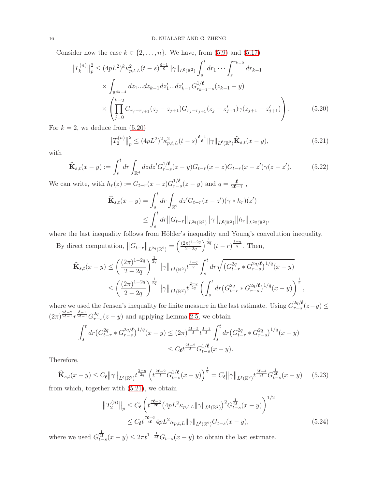Consider now the case  $k \in \{2, ..., n\}$ . We have, from [\(5.9\)](#page-13-0) and [\(5.17\)](#page-14-3)

$$
||T_{k}^{(n)}||_{p}^{2} \leq (4pL^{2})^{k} \kappa_{p,t,L}^{2}(t-s)^{\frac{\ell-1}{\ell}} ||\gamma||_{L^{\ell}(\mathbb{R}^{2})} \int_{s}^{t} dr_{1} \cdots \int_{s}^{r_{k-2}} dr_{k-1}
$$
  
 
$$
\times \int_{\mathbb{R}^{4k-4}} dz_{1}...dz_{k-1}dz_{1}'...dz_{k-1}'G_{r_{k-1}-s}^{1/\ell}(z_{k-1}-y)
$$
  
 
$$
\times \left(\prod_{j=0}^{k-2} G_{r_{j}-r_{j+1}}(z_{j}-z_{j+1})G_{r_{j}-r_{j+1}}(z_{j}-z_{j+1}')\gamma(z_{j+1}-z_{j+1}')\right).
$$
 (5.20)

For  $k = 2$ , we deduce from  $(5.20)$ 

<span id="page-15-2"></span><span id="page-15-1"></span><span id="page-15-0"></span>
$$
||T_2^{(n)}||_p^2 \le (4pL^2)^2 \kappa_{p,t,L}^2(t-s)^{\frac{\ell-1}{\ell}} ||\gamma||_{L^{\ell}(\mathbb{R}^2)} \widehat{\mathbf{K}}_{s,t}(x-y),
$$
\n(5.21)

with

$$
\widehat{\mathbf{K}}_{s,t}(x-y) := \int_s^t dr \int_{\mathbb{R}^4} dz dz' G_{r-s}^{1/\ell}(z-y) G_{t-r}(x-z) G_{t-r}(x-z') \gamma(z-z'). \tag{5.22}
$$

We can write, with  $h_r(z) := G_{t-r}(x-z)G_{r-z}^{1/\ell}$  $\frac{1/\ell}{r-s}(z-y)$  and  $q=\frac{\ell}{2\ell-s}$  $\frac{\ell}{2\ell-1}$ ,

$$
\widehat{\mathbf{K}}_{s,t}(x-y) = \int_s^t dr \int_{\mathbb{R}^2} dz' G_{t-r}(x-z') (\gamma * h_r)(z')
$$
\n
$$
\leq \int_s^t dr \|G_{t-r}\|_{L^{2q}(\mathbb{R}^2)} \|\gamma\|_{L^{\ell}(\mathbb{R}^2)} \|h_r\|_{L^{2q}(\mathbb{R}^2)},
$$

where the last inequality follows from Hölder's inequality and Young's convolution inequality.

By direct computation,  $||G_{t-r}||_{L^{2q}(\mathbb{R}^2)} = \left(\frac{(2\pi)^{1-2q}}{2-2q}\right)$ 2−2q  $\int_{0}^{\frac{1}{2q}} (t-r)^{\frac{1-q}{q}}$ . Then,

$$
\hat{\mathbf{K}}_{s,t}(x-y) \le \left(\frac{(2\pi)^{1-2q}}{2-2q}\right)^{\frac{1}{2q}} \|\gamma\|_{L^{\ell}(\mathbb{R}^2)} t^{\frac{1-q}{q}} \int_s^t dr \sqrt{\left(G_{t-r}^{2q} * G_{r-s}^{2q/\ell}\right)^{1/q}(x-y)} \le \left(\frac{(2\pi)^{1-2q}}{2-2q}\right)^{\frac{1}{2q}} \|\gamma\|_{L^{\ell}(\mathbb{R}^2)} t^{\frac{2-q}{2q}} \left(\int_s^t dr \left(G_{t-r}^{2q} * G_{r-s}^{2q/\ell}\right)^{1/q}(x-y)\right)^{\frac{1}{2}},
$$

where we used the Jensen's inequality for finite measure in the last estimate. Using  $G_{r-s}^{2q/\ell}$  $\sum_{r-s}^{2q/\mathcal{L}}(z-y)$  ≤  $(2\pi)^{\frac{2\ell-2}{2\ell-1}} r^{\frac{\ell-1}{2\ell-1}} G_{r-1}^{2q}$  $\frac{2q}{r-s}(z-y)$  and applying Lemma [2.5,](#page-6-3) we obtain

$$
\int_{s}^{t} dr \left( G_{t-r}^{2q} * G_{r-s}^{2q/\ell} \right)^{1/q} (x - y) \leq (2\pi)^{\frac{2\ell-2}{\ell}} t^{\frac{\ell-1}{\ell}} \int_{s}^{t} dr \left( G_{t-r}^{2q} * G_{r-s}^{2q} \right)^{1/q} (x - y)
$$
  

$$
\leq C_{\ell} t^{\frac{2\ell-2}{\ell}} G_{t-s}^{1/\ell} (x - y).
$$

Therefore,

$$
\widehat{\mathbf{K}}_{s,t}(x-y) \le C_{\ell} ||\gamma||_{L^{\ell}(\mathbb{R}^2)} t^{\frac{2-q}{2q}} \left( t^{\frac{2\ell-2}{\ell}} G_{t-s}^{1/\ell}(x-y) \right)^{\frac{1}{2}} = C_{\ell} ||\gamma||_{L^{\ell}(\mathbb{R}^2)} t^{\frac{5\ell-4}{2\ell}} G_{t-s}^{\frac{1}{2\ell}}(x-y) \tag{5.23}
$$

from which, together with [\(5.21\)](#page-15-1), we obtain

<span id="page-15-4"></span><span id="page-15-3"></span>
$$
||T_2^{(n)}||_p \le C_\ell \left( t^{\frac{7\ell - 6}{2\ell}} \left( 4pL^2 \kappa_{p,t,L} ||\gamma||_{L^\ell(\mathbb{R}^2)} \right)^2 G_{t-s}^{\frac{1}{2\ell}}(x - y) \right)^{1/2}
$$
  
 
$$
\le C_\ell t^{\frac{7\ell - 6}{4\ell}} 4pL^2 \kappa_{p,t,L} ||\gamma||_{L^\ell(\mathbb{R}^2)} G_{t-s}(x - y), \tag{5.24}
$$

where we used  $G_{t-s}^{\frac{1}{4\ell}}(x-y) \leq 2\pi t^{1-\frac{1}{4\ell}}G_{t-s}(x-y)$  to obtain the last estimate.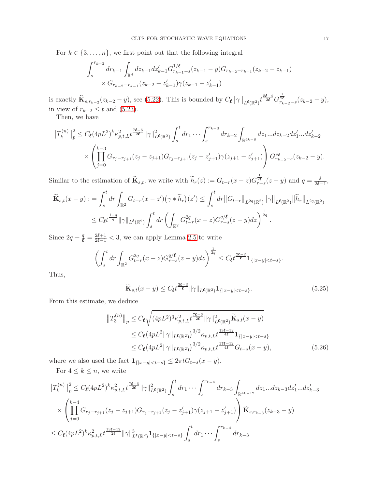For  $k \in \{3, \ldots, n\}$ , we first point out that the following integral

$$
\int_{s}^{r_{k-2}} dr_{k-1} \int_{\mathbb{R}^{4}} dz_{k-1} dz'_{k-1} G_{r_{k-1}-s}^{1/\ell} (z_{k-1} - y) G_{r_{k-2}-r_{k-1}}(z_{k-2} - z_{k-1})
$$
  
×  $G_{r_{k-2}-r_{k-1}}(z_{k-2} - z'_{k-1}) \gamma(z_{k-1} - z'_{k-1})$ 

is exactly  $\hat{\mathbf{K}}_{s,r_{k-2}}(z_{k-2}-y)$ , see [\(5.22\)](#page-15-2). This is bounded by  $C_{\ell} ||\gamma||_{L^{\ell}(\mathbb{R}^2)} t^{\frac{5\ell-4}{2\ell}} G_{r_{k-2}-s}^{\frac{1}{2\ell}}(z_{k-2}-y)$ , in view of  $r_{k-2} \leq t$  and [\(5.23\)](#page-15-3).

Then, we have

$$
||T_{k}^{(n)}||_{p}^{2} \leq C_{\ell} (4pL^{2})^{k} \kappa_{p,t,L}^{2} t^{\frac{7\ell-6}{2\ell}} ||\gamma||_{L^{\ell}(\mathbb{R}^{2})}^{2} \int_{s}^{t} dr_{1} \cdots \int_{s}^{r_{k-3}} dr_{k-2} \int_{\mathbb{R}^{4k-8}} dz_{1}...dz_{k-2} dz'_{1}...dz'_{k-2}
$$
  
 
$$
\times \left( \prod_{j=0}^{k-3} G_{r_{j}-r_{j+1}}(z_{j}-z_{j+1}) G_{r_{j}-r_{j+1}}(z_{j}-z'_{j+1}) \gamma(z_{j+1}-z'_{j+1}) \right) G_{r_{k-2}-s}^{\frac{1}{2\ell}}(z_{k-2}-y).
$$

Similar to the estimation of  $\widehat{\mathbf{K}}_{s,t}$ , we write with  $\widetilde{h}_r(z) := G_{t-r}(x-z)G_{r-s}^{\frac{1}{2\ell}}(z-y)$  and  $q = \frac{\ell}{2\ell}$ .  $\frac{\ell}{2\ell-1}$ ,

$$
\widetilde{\mathbf{K}}_{s,t}(x-y) := \int_{s}^{t} dr \int_{\mathbb{R}^{2}} G_{t-r}(x-z') \left(\gamma * \widetilde{h}_{r}\right)(z') \leq \int_{s}^{t} dr \left\|G_{t-r}\right\|_{L^{2q}(\mathbb{R}^{2})} \|\gamma\|_{L^{\ell}(\mathbb{R}^{2})} \|\widetilde{h}_{r}\|_{L^{2q}(\mathbb{R}^{2})}
$$
\n
$$
\leq C_{\ell} t^{\frac{1-q}{q}} \|\gamma\|_{L^{\ell}(\mathbb{R}^{2})} \int_{s}^{t} dr \left(\int_{\mathbb{R}^{2}} G_{t-r}^{2q}(x-z) G_{r-s}^{q/\ell}(z-y) dz\right)^{\frac{1}{2q}}.
$$

Since  $2q + \frac{q}{\ell} = \frac{2\ell+1}{2\ell-1} < 3$ , we can apply Lemma [2.5](#page-6-3) to write

$$
\left(\int_{s}^{t} dr \int_{\mathbb{R}^{2}} G_{t-r}^{2q} (x-z) G_{r-s}^{q/\ell} (z-y) dz\right)^{\frac{1}{2q}} \leq C_{\ell} t^{\frac{2\ell-2}{\ell}} \mathbf{1}_{\{|x-y| < t-s\}}.
$$

Thus,

<span id="page-16-1"></span><span id="page-16-0"></span>
$$
\widetilde{\mathbf{K}}_{s,t}(x-y) \le C_{\ell} t^{\frac{3\ell-3}{\ell}} \|\gamma\|_{L^{\ell}(\mathbb{R}^2)} \mathbf{1}_{\{|x-y| < t-s\}}. \tag{5.25}
$$

From this estimate, we deduce

$$
||T_3^{(n)}||_p \le C_{\ell} \sqrt{(4pL^2)^3 \kappa_{p,t,L}^2 t^{\frac{7\ell - 6}{2\ell}} ||\gamma||_{L^{\ell}(\mathbb{R}^2)}^2} \tilde{\mathbf{K}}_{s,t}(x - y)
$$
  
\n
$$
\le C_{\ell} (4pL^2 ||\gamma||_{L^{\ell}(\mathbb{R}^2)})^{3/2} \kappa_{p,t,L} t^{\frac{13\ell - 12}{4\ell}} \mathbf{1}_{\{|x - y| < t - s\}}
$$
  
\n
$$
\le C_{\ell} (4pL^2 ||\gamma||_{L^{\ell}(\mathbb{R}^2)})^{3/2} \kappa_{p,t,L} t^{\frac{17\ell - 12}{4\ell}} G_{t-s}(x - y),
$$
\n(5.26)

where we also used the fact  $\mathbf{1}_{\{|x-y|$ 

For  $4 \leq k \leq n$ , we write

$$
||T_{k}^{(n)}||_{p}^{2} \leq C_{\ell}(4pL^{2})^{k} \kappa_{p,t,L}^{2} t^{\frac{7\ell-6}{2\ell}} ||\gamma||_{L^{\ell}(\mathbb{R}^{2})}^{2} \int_{s}^{t} dr_{1} \cdots \int_{s}^{r_{k-4}} dr_{k-3} \int_{\mathbb{R}^{4k-12}} dz_{1}...dz_{k-3} dz'_{1}...dz'_{k-3}
$$
  
 
$$
\times \left( \prod_{j=0}^{k-4} G_{r_{j}-r_{j+1}}(z_{j}-z_{j+1}) G_{r_{j}-r_{j+1}}(z_{j}-z'_{j+1}) \gamma(z_{j+1}-z'_{j+1}) \right) \widetilde{\mathbf{K}}_{s,r_{k-3}}(z_{k-3}-y)
$$
  
 
$$
\leq C_{\ell}(4pL^{2})^{k} \kappa_{p,t,L}^{2} t^{\frac{13\ell-12}{2\ell}} ||\gamma||_{L^{\ell}(\mathbb{R}^{2})}^{3} \mathbf{1}_{\{|x-y| < t-s\}} \int_{s}^{t} dr_{1} \cdots \int_{s}^{r_{k-4}} dr_{k-3}
$$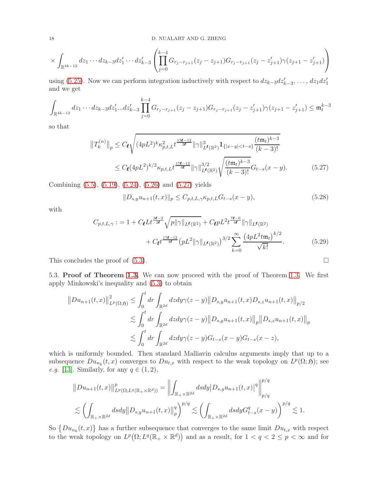18 D. NUALART AND G. ZHENG

$$
\times \int_{\mathbb{R}^{4k-12}} dz_1 \cdots dz_{k-3} dz'_1 \cdots dz'_{k-3} \left( \prod_{j=0}^{k-4} G_{r_j - r_{j+1}}(z_j - z_{j+1}) G_{r_j - r_{j+1}}(z_j - z'_{j+1}) \gamma(z_{j+1} - z'_{j+1}) \right)
$$

using [\(5.25\)](#page-16-0). Now we can perform integration inductively with respect to  $dz_{k-3}dz'_{k-3}, \ldots, dz_1 dz'_1$ and we get

$$
\int_{\mathbb{R}^{4k-12}} dz_1 \cdots dz_{k-3} dz'_1 \cdots dz'_{k-3} \prod_{j=0}^{k-4} G_{r_j-r_{j+1}}(z_j - z_{j+1}) G_{r_j-r_{j+1}}(z_j - z'_{j+1}) \gamma(z_{j+1} - z'_{j+1}) \leq \mathfrak{m}_t^{k-3}
$$

so that

$$
||T_{k}^{(n)}||_{p} \leq C_{\ell} \sqrt{(4pL^{2})^{k} \kappa_{p,t,L}^{2} t^{\frac{13\ell-12}{2\ell}} ||\gamma||_{L^{\ell}(\mathbb{R}^{2})}^{3} \mathbf{1}_{\{|x-y| < t-s\}} \frac{(t\mathfrak{m}_{t})^{k-3}}{(k-3)!}} \\
\leq C_{\ell} (4pL^{2})^{k/2} \kappa_{p,t,L} t^{\frac{17\ell-12}{4\ell}} ||\gamma||_{L^{\ell}(\mathbb{R}^{2})}^{3/2} \sqrt{\frac{(t\mathfrak{m}_{t})^{k-3}}{(k-3)!}} G_{t-s}(x-y). \tag{5.27}
$$

Combining [\(5.5\)](#page-11-2), [\(5.19\)](#page-14-4), [\(5.24\)](#page-15-4), [\(5.26\)](#page-16-1) and [\(5.27\)](#page-17-1) yields

<span id="page-17-1"></span><span id="page-17-0"></span>
$$
||D_{s,y}u_{n+1}(t,x)||_{p} \leq C_{p,t,L,\gamma} \kappa_{p,t,L} G_{t-s}(x-y),
$$
\n(5.28)

with

$$
C_{p,t,L,\gamma} := 1 + C_{\ell} L t^{\frac{3\ell-2}{2\ell}} \sqrt{p \|\gamma\|_{L^{\ell}(\mathbb{R}^2)}} + C_{\ell} p L^2 t^{\frac{7\ell-6}{4\ell}} \|\gamma\|_{L^{\ell}(\mathbb{R}^2)} + C_{\ell} t^{\frac{17\ell-12}{4\ell}} \left(p L^2 \|\gamma\|_{L^{\ell}(\mathbb{R}^2)}\right)^{3/2} \sum_{k=0}^{\infty} \frac{\left(4p L^2 t \mathfrak{m}_t\right)^{k/2}}{\sqrt{k!}}.
$$
 (5.29)

This concludes the proof of  $(5.3)$ .

5.3. Proof of Theorem [1.3.](#page-2-1) We can now proceed with the proof of Theorem [1.3.](#page-2-1) We first apply Minkowski's inequality and [\(5.3\)](#page-11-1) to obtain

$$
||Du_{n+1}(t,x)||_{L^{p}(\Omega;\mathfrak{H})}^{2} \leq \int_{0}^{t} dr \int_{\mathbb{R}^{2d}} dz dy \gamma(z-y) ||D_{s,y}u_{n+1}(t,x)D_{s,z}u_{n+1}(t,x)||_{p/2}
$$
  

$$
\lesssim \int_{0}^{t} dr \int_{\mathbb{R}^{2d}} dz dy \gamma(z-y) ||D_{s,y}u_{n+1}(t,x)||_{p} ||D_{s,z}u_{n+1}(t,x)||_{p}
$$
  

$$
\lesssim \int_{0}^{t} dr \int_{\mathbb{R}^{2d}} dz dy \gamma(z-y)G_{t-s}(x-y)G_{t-s}(x-z),
$$

which is uniformly bounded. Then standard Malliavin calculus arguments imply that up to a subsequence  $Du_{n_k}(t,x)$  converges to  $Du_{t,x}$  with respect to the weak topology on  $L^p(\Omega, \mathfrak{H})$ ; see *e.g.* [\[13\]](#page-18-18). Similarly, for any  $q \in (1, 2)$ ,

$$
||Du_{n+1}(t,x)||_{L^{p}(\Omega;L^{q}(\mathbb{R}_{+}\times\mathbb{R}^{d}))}^{p} = \left\| \int_{\mathbb{R}_{+}\times\mathbb{R}^{2d}} ds dy |D_{s,y}u_{n+1}(t,x)|^{q} \right\|_{p/q}^{p/q}
$$
  

$$
\lesssim \left( \int_{\mathbb{R}_{+}\times\mathbb{R}^{2d}} ds dy ||D_{s,y}u_{n+1}(t,x)||_{p}^{q} \right)^{p/q} \lesssim \left( \int_{\mathbb{R}_{+}\times\mathbb{R}^{2d}} ds dy G_{t-s}^{q}(x-y) \right)^{p/q} \lesssim 1.
$$

So  $\{Du_{n_k}(t,x)\}\$  has a further subsequence that converges to the same limit  $Du_{t,x}$  with respect to the weak topology on  $L^p(\Omega; L^q(\mathbb{R}_+ \times \mathbb{R}^d))$  and as a result, for  $1 < q < 2 \leq p < \infty$  and for